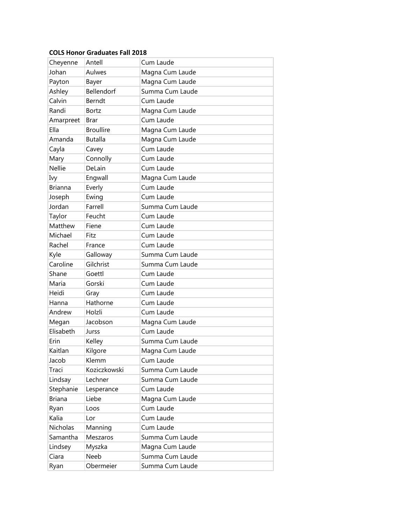## **COLS Honor Graduates Fall 2018**

| Cheyenne       | Antell           | Cum Laude       |
|----------------|------------------|-----------------|
| Johan          | Aulwes           | Magna Cum Laude |
| Payton         | Bayer            | Magna Cum Laude |
| Ashley         | Bellendorf       | Summa Cum Laude |
| Calvin         | Berndt           | Cum Laude       |
| Randi          | <b>Bortz</b>     | Magna Cum Laude |
| Amarpreet      | Brar             | Cum Laude       |
| Ella           | <b>Broullire</b> | Magna Cum Laude |
| Amanda         | <b>Butalla</b>   | Magna Cum Laude |
| Cayla          | Cavey            | Cum Laude       |
| Mary           | Connolly         | Cum Laude       |
| <b>Nellie</b>  | DeLain           | Cum Laude       |
| Ivy            | Engwall          | Magna Cum Laude |
| <b>Brianna</b> | Everly           | Cum Laude       |
| Joseph         | Ewing            | Cum Laude       |
| Jordan         | Farrell          | Summa Cum Laude |
| Taylor         | Feucht           | Cum Laude       |
| Matthew        | Fiene            | Cum Laude       |
| Michael        | Fitz             | Cum Laude       |
| Rachel         | France           | Cum Laude       |
| Kyle           | Galloway         | Summa Cum Laude |
| Caroline       | Gilchrist        | Summa Cum Laude |
| Shane          | Goettl           | Cum Laude       |
| Maria          | Gorski           | Cum Laude       |
| Heidi          | Gray             | Cum Laude       |
| Hanna          | Hathorne         | Cum Laude       |
| Andrew         | Holzli           | Cum Laude       |
| Megan          | Jacobson         | Magna Cum Laude |
| Elisabeth      | Jurss            | Cum Laude       |
| Erin           | Kelley           | Summa Cum Laude |
| Kaitlan        | Kilgore          | Magna Cum Laude |
| Jacob          | Klemm            | Cum Laude       |
| Traci          | Koziczkowski     | Summa Cum Laude |
| Lindsay        | Lechner          | Summa Cum Laude |
| Stephanie      | Lesperance       | Cum Laude       |
| <b>Briana</b>  | Liebe            | Magna Cum Laude |
| Ryan           | Loos             | Cum Laude       |
| Kalia          | Lor              | Cum Laude       |
| Nicholas       | Manning          | Cum Laude       |
| Samantha       | Meszaros         | Summa Cum Laude |
| Lindsey        | Myszka           | Magna Cum Laude |
| Ciara          | Neeb             | Summa Cum Laude |
| Ryan           | Obermeier        | Summa Cum Laude |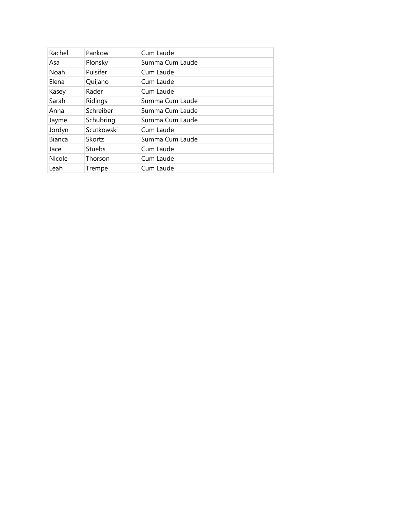| Rachel        | Pankow        | Cum Laude       |
|---------------|---------------|-----------------|
| Asa           | Plonsky       | Summa Cum Laude |
| Noah          | Pulsifer      | Cum Laude       |
| Elena         | Quijano       | Cum Laude       |
| Kasey         | Rader         | Cum Laude       |
| Sarah         | Ridings       | Summa Cum Laude |
| Anna          | Schreiber     | Summa Cum Laude |
| Jayme         | Schubring     | Summa Cum Laude |
| Jordyn        | Scutkowski    | Cum Laude       |
| <b>Bianca</b> | Skortz        | Summa Cum Laude |
| Jace          | <b>Stuebs</b> | Cum Laude       |
| Nicole        | Thorson       | Cum Laude       |
| Leah          | Trempe        | Cum Laude       |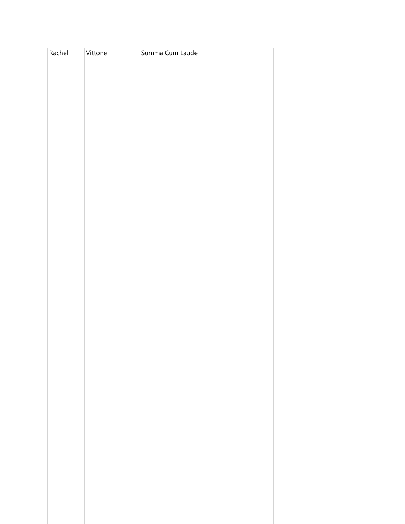| Rachel | Vittone | Summa Cum Laude |
|--------|---------|-----------------|
|        |         |                 |
|        |         |                 |
|        |         |                 |
|        |         |                 |
|        |         |                 |
|        |         |                 |
|        |         |                 |
|        |         |                 |
|        |         |                 |
|        |         |                 |
|        |         |                 |
|        |         |                 |
|        |         |                 |
|        |         |                 |
|        |         |                 |
|        |         |                 |
|        |         |                 |
|        |         |                 |
|        |         |                 |
|        |         |                 |
|        |         |                 |
|        |         |                 |
|        |         |                 |
|        |         |                 |
|        |         |                 |
|        |         |                 |
|        |         |                 |
|        |         |                 |
|        |         |                 |
|        |         |                 |
|        |         |                 |
|        |         |                 |
|        |         |                 |
|        |         |                 |
|        |         |                 |
|        |         |                 |
|        |         |                 |
|        |         |                 |
|        |         |                 |